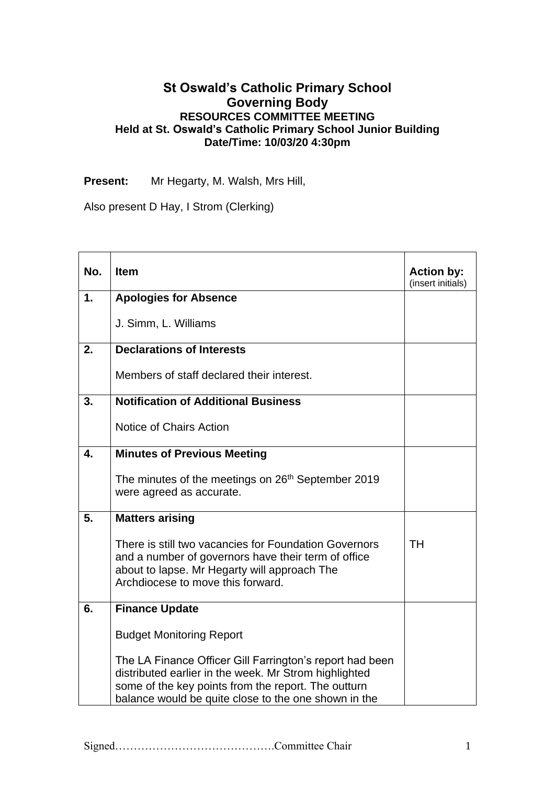## **St Oswald's Catholic Primary School Governing Body RESOURCES COMMITTEE MEETING Held at St. Oswald's Catholic Primary School Junior Building Date/Time: 10/03/20 4:30pm**

**Present:** Mr Hegarty, M. Walsh, Mrs Hill,

Also present D Hay, I Strom (Clerking)

| No. | <b>Item</b>                                                                                                                                                                                                                      | <b>Action by:</b><br>(insert initials) |
|-----|----------------------------------------------------------------------------------------------------------------------------------------------------------------------------------------------------------------------------------|----------------------------------------|
| 1.  | <b>Apologies for Absence</b>                                                                                                                                                                                                     |                                        |
|     | J. Simm, L. Williams                                                                                                                                                                                                             |                                        |
| 2.  | <b>Declarations of Interests</b>                                                                                                                                                                                                 |                                        |
|     | Members of staff declared their interest.                                                                                                                                                                                        |                                        |
| 3.  | <b>Notification of Additional Business</b>                                                                                                                                                                                       |                                        |
|     | Notice of Chairs Action                                                                                                                                                                                                          |                                        |
| 4.  | <b>Minutes of Previous Meeting</b>                                                                                                                                                                                               |                                        |
|     | The minutes of the meetings on 26 <sup>th</sup> September 2019<br>were agreed as accurate.                                                                                                                                       |                                        |
| 5.  | <b>Matters arising</b>                                                                                                                                                                                                           |                                        |
|     | There is still two vacancies for Foundation Governors<br>and a number of governors have their term of office<br>about to lapse. Mr Hegarty will approach The<br>Archdiocese to move this forward.                                | TH                                     |
| 6.  | <b>Finance Update</b>                                                                                                                                                                                                            |                                        |
|     | <b>Budget Monitoring Report</b>                                                                                                                                                                                                  |                                        |
|     | The LA Finance Officer Gill Farrington's report had been<br>distributed earlier in the week. Mr Strom highlighted<br>some of the key points from the report. The outturn<br>balance would be quite close to the one shown in the |                                        |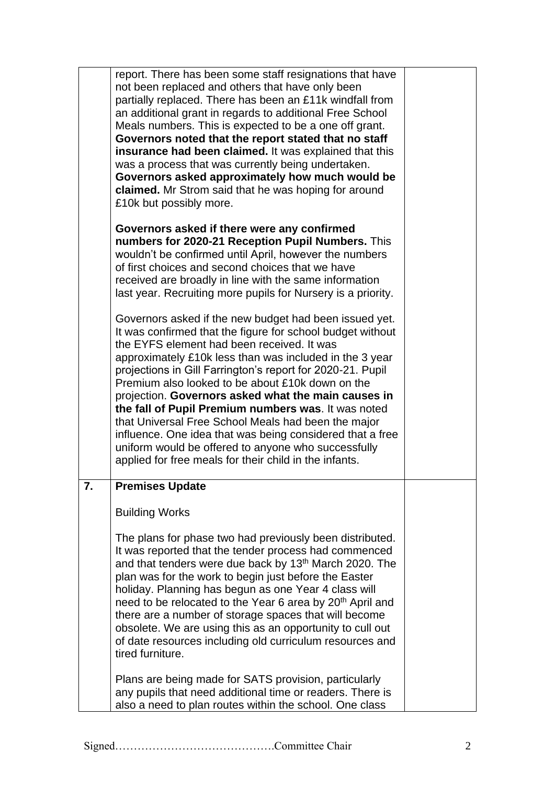|    | report. There has been some staff resignations that have<br>not been replaced and others that have only been<br>partially replaced. There has been an £11k windfall from<br>an additional grant in regards to additional Free School<br>Meals numbers. This is expected to be a one off grant.<br>Governors noted that the report stated that no staff<br>insurance had been claimed. It was explained that this<br>was a process that was currently being undertaken.<br>Governors asked approximately how much would be<br>claimed. Mr Strom said that he was hoping for around<br>£10k but possibly more.                                                                                       |  |
|----|----------------------------------------------------------------------------------------------------------------------------------------------------------------------------------------------------------------------------------------------------------------------------------------------------------------------------------------------------------------------------------------------------------------------------------------------------------------------------------------------------------------------------------------------------------------------------------------------------------------------------------------------------------------------------------------------------|--|
|    | Governors asked if there were any confirmed<br>numbers for 2020-21 Reception Pupil Numbers. This<br>wouldn't be confirmed until April, however the numbers<br>of first choices and second choices that we have<br>received are broadly in line with the same information<br>last year. Recruiting more pupils for Nursery is a priority.                                                                                                                                                                                                                                                                                                                                                           |  |
|    | Governors asked if the new budget had been issued yet.<br>It was confirmed that the figure for school budget without<br>the EYFS element had been received. It was<br>approximately £10k less than was included in the 3 year<br>projections in Gill Farrington's report for 2020-21. Pupil<br>Premium also looked to be about £10k down on the<br>projection. Governors asked what the main causes in<br>the fall of Pupil Premium numbers was. It was noted<br>that Universal Free School Meals had been the major<br>influence. One idea that was being considered that a free<br>uniform would be offered to anyone who successfully<br>applied for free meals for their child in the infants. |  |
| 7. | <b>Premises Update</b>                                                                                                                                                                                                                                                                                                                                                                                                                                                                                                                                                                                                                                                                             |  |
|    | <b>Building Works</b>                                                                                                                                                                                                                                                                                                                                                                                                                                                                                                                                                                                                                                                                              |  |
|    | The plans for phase two had previously been distributed.<br>It was reported that the tender process had commenced<br>and that tenders were due back by 13 <sup>th</sup> March 2020. The<br>plan was for the work to begin just before the Easter<br>holiday. Planning has begun as one Year 4 class will<br>need to be relocated to the Year 6 area by 20 <sup>th</sup> April and<br>there are a number of storage spaces that will become<br>obsolete. We are using this as an opportunity to cull out<br>of date resources including old curriculum resources and<br>tired furniture.                                                                                                            |  |
|    | Plans are being made for SATS provision, particularly<br>any pupils that need additional time or readers. There is<br>also a need to plan routes within the school. One class                                                                                                                                                                                                                                                                                                                                                                                                                                                                                                                      |  |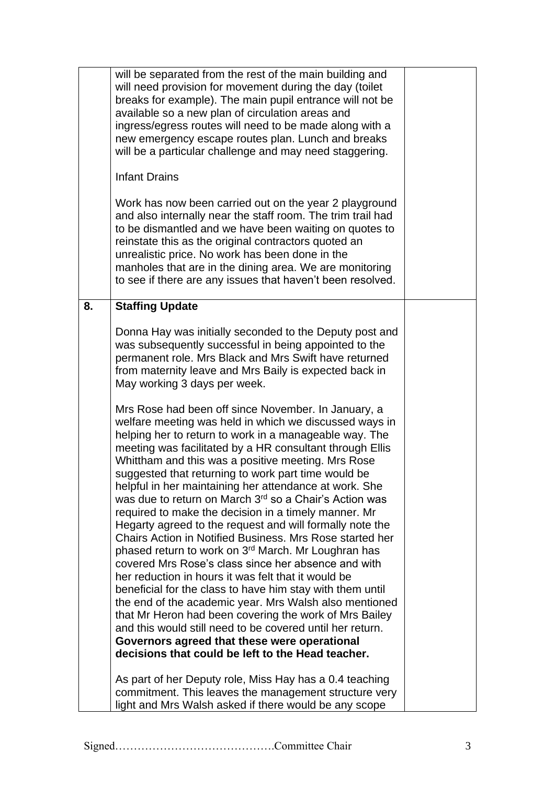|    | will be separated from the rest of the main building and<br>will need provision for movement during the day (toilet<br>breaks for example). The main pupil entrance will not be<br>available so a new plan of circulation areas and<br>ingress/egress routes will need to be made along with a<br>new emergency escape routes plan. Lunch and breaks<br>will be a particular challenge and may need staggering.<br><b>Infant Drains</b><br>Work has now been carried out on the year 2 playground<br>and also internally near the staff room. The trim trail had<br>to be dismantled and we have been waiting on quotes to<br>reinstate this as the original contractors quoted an<br>unrealistic price. No work has been done in the<br>manholes that are in the dining area. We are monitoring<br>to see if there are any issues that haven't been resolved.                                                                                                                                                                                                                                                                                                                                       |  |
|----|------------------------------------------------------------------------------------------------------------------------------------------------------------------------------------------------------------------------------------------------------------------------------------------------------------------------------------------------------------------------------------------------------------------------------------------------------------------------------------------------------------------------------------------------------------------------------------------------------------------------------------------------------------------------------------------------------------------------------------------------------------------------------------------------------------------------------------------------------------------------------------------------------------------------------------------------------------------------------------------------------------------------------------------------------------------------------------------------------------------------------------------------------------------------------------------------------|--|
| 8. | <b>Staffing Update</b>                                                                                                                                                                                                                                                                                                                                                                                                                                                                                                                                                                                                                                                                                                                                                                                                                                                                                                                                                                                                                                                                                                                                                                               |  |
|    | Donna Hay was initially seconded to the Deputy post and<br>was subsequently successful in being appointed to the<br>permanent role. Mrs Black and Mrs Swift have returned<br>from maternity leave and Mrs Baily is expected back in<br>May working 3 days per week.                                                                                                                                                                                                                                                                                                                                                                                                                                                                                                                                                                                                                                                                                                                                                                                                                                                                                                                                  |  |
|    | Mrs Rose had been off since November. In January, a<br>welfare meeting was held in which we discussed ways in<br>helping her to return to work in a manageable way. The<br>meeting was facilitated by a HR consultant through Ellis<br>Whittham and this was a positive meeting. Mrs Rose<br>suggested that returning to work part time would be<br>helpful in her maintaining her attendance at work. She<br>was due to return on March 3 <sup>rd</sup> so a Chair's Action was<br>required to make the decision in a timely manner. Mr<br>Hegarty agreed to the request and will formally note the<br>Chairs Action in Notified Business. Mrs Rose started her<br>phased return to work on 3 <sup>rd</sup> March. Mr Loughran has<br>covered Mrs Rose's class since her absence and with<br>her reduction in hours it was felt that it would be<br>beneficial for the class to have him stay with them until<br>the end of the academic year. Mrs Walsh also mentioned<br>that Mr Heron had been covering the work of Mrs Bailey<br>and this would still need to be covered until her return.<br>Governors agreed that these were operational<br>decisions that could be left to the Head teacher. |  |
|    | As part of her Deputy role, Miss Hay has a 0.4 teaching<br>commitment. This leaves the management structure very<br>light and Mrs Walsh asked if there would be any scope                                                                                                                                                                                                                                                                                                                                                                                                                                                                                                                                                                                                                                                                                                                                                                                                                                                                                                                                                                                                                            |  |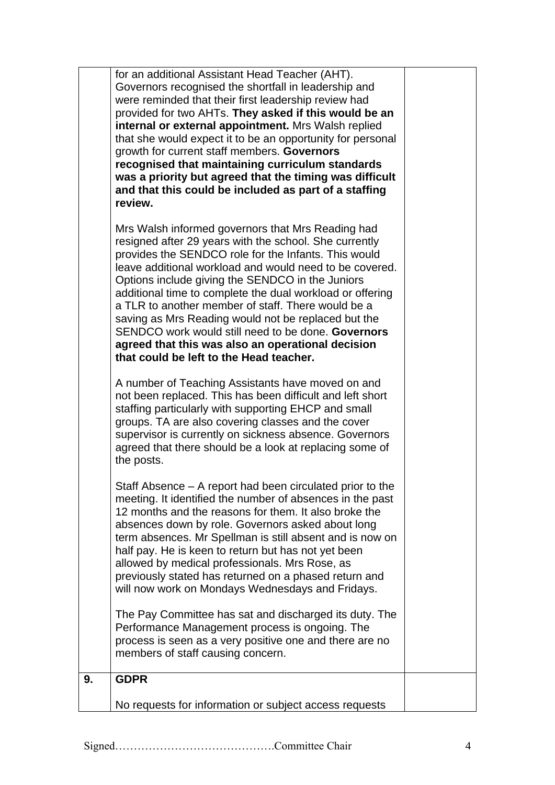|    | for an additional Assistant Head Teacher (AHT).<br>Governors recognised the shortfall in leadership and<br>were reminded that their first leadership review had<br>provided for two AHTs. They asked if this would be an<br>internal or external appointment. Mrs Walsh replied<br>that she would expect it to be an opportunity for personal<br>growth for current staff members. Governors<br>recognised that maintaining curriculum standards<br>was a priority but agreed that the timing was difficult<br>and that this could be included as part of a staffing<br>review.                                    |  |
|----|--------------------------------------------------------------------------------------------------------------------------------------------------------------------------------------------------------------------------------------------------------------------------------------------------------------------------------------------------------------------------------------------------------------------------------------------------------------------------------------------------------------------------------------------------------------------------------------------------------------------|--|
|    | Mrs Walsh informed governors that Mrs Reading had<br>resigned after 29 years with the school. She currently<br>provides the SENDCO role for the Infants. This would<br>leave additional workload and would need to be covered.<br>Options include giving the SENDCO in the Juniors<br>additional time to complete the dual workload or offering<br>a TLR to another member of staff. There would be a<br>saving as Mrs Reading would not be replaced but the<br>SENDCO work would still need to be done. Governors<br>agreed that this was also an operational decision<br>that could be left to the Head teacher. |  |
|    | A number of Teaching Assistants have moved on and<br>not been replaced. This has been difficult and left short<br>staffing particularly with supporting EHCP and small<br>groups. TA are also covering classes and the cover<br>supervisor is currently on sickness absence. Governors<br>agreed that there should be a look at replacing some of<br>the posts.                                                                                                                                                                                                                                                    |  |
|    | Staff Absence - A report had been circulated prior to the<br>meeting. It identified the number of absences in the past<br>12 months and the reasons for them. It also broke the<br>absences down by role. Governors asked about long<br>term absences. Mr Spellman is still absent and is now on<br>half pay. He is keen to return but has not yet been<br>allowed by medical professionals. Mrs Rose, as<br>previously stated has returned on a phased return and<br>will now work on Mondays Wednesdays and Fridays.                                                                                             |  |
|    | The Pay Committee has sat and discharged its duty. The<br>Performance Management process is ongoing. The<br>process is seen as a very positive one and there are no<br>members of staff causing concern.                                                                                                                                                                                                                                                                                                                                                                                                           |  |
| 9. | <b>GDPR</b>                                                                                                                                                                                                                                                                                                                                                                                                                                                                                                                                                                                                        |  |
|    | No requests for information or subject access requests                                                                                                                                                                                                                                                                                                                                                                                                                                                                                                                                                             |  |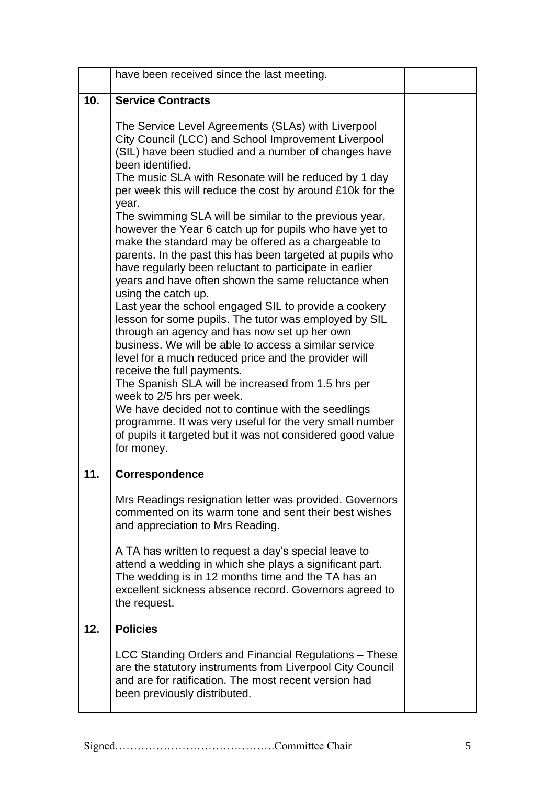|     | have been received since the last meeting.                                                                                                                                                                                                                                                                                                                                                                                                                                                                                                                                                                                                                                                                                                                                                                                                                                                                                                                                                                                                                                                                                                                                                                                                                                                            |  |
|-----|-------------------------------------------------------------------------------------------------------------------------------------------------------------------------------------------------------------------------------------------------------------------------------------------------------------------------------------------------------------------------------------------------------------------------------------------------------------------------------------------------------------------------------------------------------------------------------------------------------------------------------------------------------------------------------------------------------------------------------------------------------------------------------------------------------------------------------------------------------------------------------------------------------------------------------------------------------------------------------------------------------------------------------------------------------------------------------------------------------------------------------------------------------------------------------------------------------------------------------------------------------------------------------------------------------|--|
| 10. | <b>Service Contracts</b>                                                                                                                                                                                                                                                                                                                                                                                                                                                                                                                                                                                                                                                                                                                                                                                                                                                                                                                                                                                                                                                                                                                                                                                                                                                                              |  |
|     | The Service Level Agreements (SLAs) with Liverpool<br>City Council (LCC) and School Improvement Liverpool<br>(SIL) have been studied and a number of changes have<br>been identified.<br>The music SLA with Resonate will be reduced by 1 day<br>per week this will reduce the cost by around £10k for the<br>year.<br>The swimming SLA will be similar to the previous year,<br>however the Year 6 catch up for pupils who have yet to<br>make the standard may be offered as a chargeable to<br>parents. In the past this has been targeted at pupils who<br>have regularly been reluctant to participate in earlier<br>years and have often shown the same reluctance when<br>using the catch up.<br>Last year the school engaged SIL to provide a cookery<br>lesson for some pupils. The tutor was employed by SIL<br>through an agency and has now set up her own<br>business. We will be able to access a similar service<br>level for a much reduced price and the provider will<br>receive the full payments.<br>The Spanish SLA will be increased from 1.5 hrs per<br>week to 2/5 hrs per week.<br>We have decided not to continue with the seedlings<br>programme. It was very useful for the very small number<br>of pupils it targeted but it was not considered good value<br>for money. |  |
| 11. | <b>Correspondence</b>                                                                                                                                                                                                                                                                                                                                                                                                                                                                                                                                                                                                                                                                                                                                                                                                                                                                                                                                                                                                                                                                                                                                                                                                                                                                                 |  |
|     | Mrs Readings resignation letter was provided. Governors<br>commented on its warm tone and sent their best wishes<br>and appreciation to Mrs Reading.                                                                                                                                                                                                                                                                                                                                                                                                                                                                                                                                                                                                                                                                                                                                                                                                                                                                                                                                                                                                                                                                                                                                                  |  |
|     | A TA has written to request a day's special leave to<br>attend a wedding in which she plays a significant part.<br>The wedding is in 12 months time and the TA has an<br>excellent sickness absence record. Governors agreed to<br>the request.                                                                                                                                                                                                                                                                                                                                                                                                                                                                                                                                                                                                                                                                                                                                                                                                                                                                                                                                                                                                                                                       |  |
| 12. | <b>Policies</b>                                                                                                                                                                                                                                                                                                                                                                                                                                                                                                                                                                                                                                                                                                                                                                                                                                                                                                                                                                                                                                                                                                                                                                                                                                                                                       |  |
|     | LCC Standing Orders and Financial Regulations – These<br>are the statutory instruments from Liverpool City Council<br>and are for ratification. The most recent version had<br>been previously distributed.                                                                                                                                                                                                                                                                                                                                                                                                                                                                                                                                                                                                                                                                                                                                                                                                                                                                                                                                                                                                                                                                                           |  |